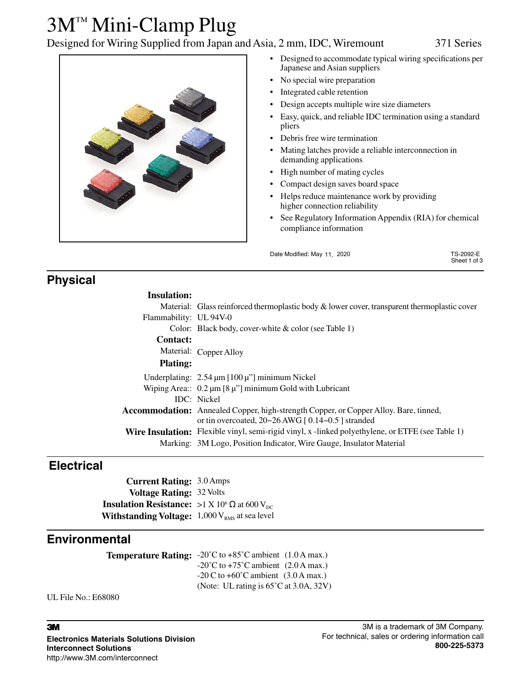## 3M™ Mini-Clamp Plug

Designed for Wiring Supplied from Japan and Asia, 2 mm, IDC, Wiremount 371 Series



- Designed to accommodate typical wiring specifications per Japanese and Asian suppliers
- No special wire preparation
- Integrated cable retention
- Design accepts multiple wire size diameters
- Easy, quick, and reliable IDC termination using a standard pliers
- Debris free wire termination
- Mating latches provide a reliable interconnection in demanding applications
- High number of mating cycles
- Compact design saves board space
- Helps reduce maintenance work by providing higher connection reliability
- See Regulatory Information Appendix (RIA) for chemical compliance information

| Date Modified: May 11, 2020 | TS-2092-E<br>Sheet 1 of 3 |
|-----------------------------|---------------------------|
|                             |                           |

## **Physical**

| <b>Insulation:</b> |
|--------------------|
|                    |

|                        | Material: Glass reinforced thermoplastic body & lower cover, transparent thermoplastic cover                                                          |
|------------------------|-------------------------------------------------------------------------------------------------------------------------------------------------------|
| Flammability: UL 94V-0 |                                                                                                                                                       |
|                        | Color: Black body, cover-white $& color$ (see Table 1)                                                                                                |
| <b>Contact:</b>        |                                                                                                                                                       |
|                        | Material: Copper Alloy                                                                                                                                |
| <b>Plating:</b>        |                                                                                                                                                       |
|                        | Underplating: $2.54 \mu m$ [100 $\mu$ "] minimum Nickel                                                                                               |
|                        | Wiping Area:: $0.2 \mu m$ [8 $\mu$ "] minimum Gold with Lubricant                                                                                     |
|                        | <b>IDC</b> : Nickel                                                                                                                                   |
|                        | <b>Accommodation:</b> Annealed Copper, high-strength Copper, or Copper Alloy. Bare, tinned,<br>or tin overcoated, $20~26$ AWG [ $0.14~0.5$ ] stranded |
|                        | <b>Wire Insulation:</b> Flexible vinyl, semi-rigid vinyl, x -linked polyethylene, or ETFE (see Table 1)                                               |
|                        | Marking: 3M Logo, Position Indicator, Wire Gauge, Insulator Material                                                                                  |
|                        |                                                                                                                                                       |

### **Electrical**

**Current Rating:** 3.0 Amps **Voltage Rating:** 32 Volts **Insulation Resistance:** >1 X 10<sup>6</sup>  $\Omega$  at 600 V<sub>DC</sub> **Withstanding Voltage:**  $1,000$  V<sub>RMS</sub> at sea level

### **Environmental**

**Temperature Rating:** -20˚C to +85˚C ambient (1.0 A max.)  $-20^{\circ}$ C to  $+75^{\circ}$ C ambient (2.0 A max.)  $-20$  C to  $+60^{\circ}$ C ambient (3.0 A max.) (Note: UL rating is 65˚C at 3.0A, 32V)

UL File No.: E68080

#### 3

**Electronics Materials Solutions Division Interconnect Solutions** http://www.3M.com/interconnect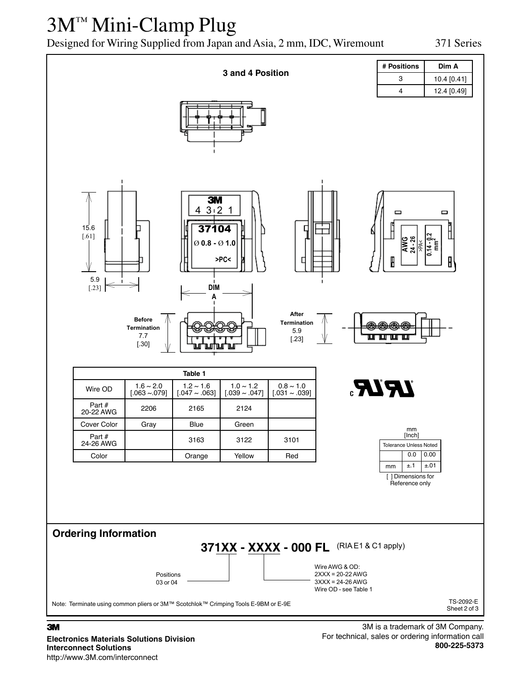## 3M™ Mini-Clamp Plug

Designed for Wiring Supplied from Japan and Asia, 2 mm, IDC, Wiremount 371 Series



**Electronics Materials Solutions Division Interconnect Solutions** http://www.3M.com/interconnect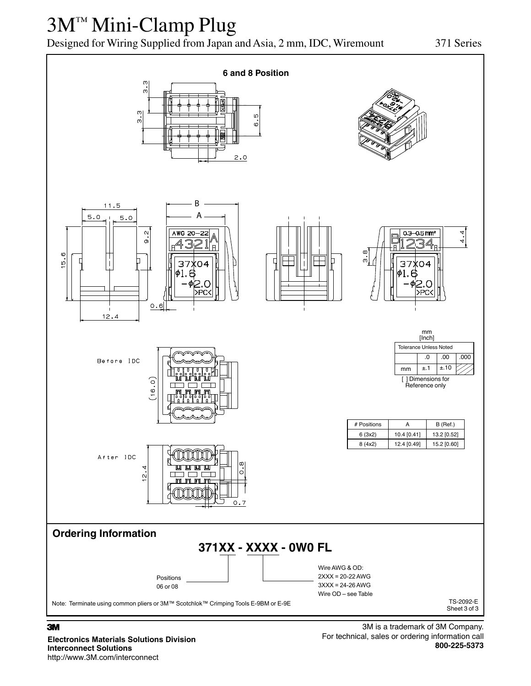# 3M™ Mini-Clamp Plug

Designed for Wiring Supplied from Japan and Asia, 2 mm, IDC, Wiremount 371 Series



#### 3

**Electronics Materials Solutions Division Interconnect Solutions** http://www.3M.com/interconnect

3M is a trademark of 3M Company. For technical, sales or ordering information call **800-225-5373**